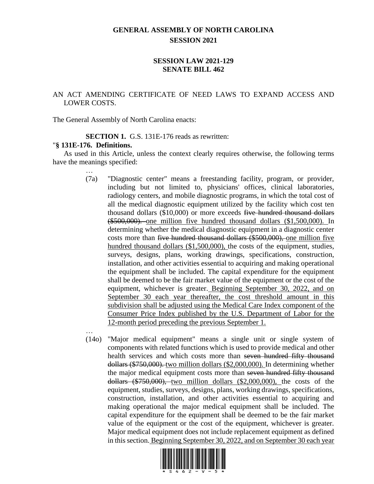## **GENERAL ASSEMBLY OF NORTH CAROLINA SESSION 2021**

## **SESSION LAW 2021-129 SENATE BILL 462**

## AN ACT AMENDING CERTIFICATE OF NEED LAWS TO EXPAND ACCESS AND LOWER COSTS.

The General Assembly of North Carolina enacts:

**SECTION 1.** G.S. 131E-176 reads as rewritten:

## "**§ 131E-176. Definitions.**

…

As used in this Article, unless the context clearly requires otherwise, the following terms have the meanings specified:

- … (7a) "Diagnostic center" means a freestanding facility, program, or provider, including but not limited to, physicians' offices, clinical laboratories, radiology centers, and mobile diagnostic programs, in which the total cost of all the medical diagnostic equipment utilized by the facility which cost ten thousand dollars (\$10,000) or more exceeds five hundred thousand dollars (\$500,000). one million five hundred thousand dollars (\$1,500,000). In determining whether the medical diagnostic equipment in a diagnostic center costs more than five hundred thousand dollars (\$500,000), one million five hundred thousand dollars (\$1,500,000), the costs of the equipment, studies, surveys, designs, plans, working drawings, specifications, construction, installation, and other activities essential to acquiring and making operational the equipment shall be included. The capital expenditure for the equipment shall be deemed to be the fair market value of the equipment or the cost of the equipment, whichever is greater. Beginning September 30, 2022, and on September 30 each year thereafter, the cost threshold amount in this subdivision shall be adjusted using the Medical Care Index component of the Consumer Price Index published by the U.S. Department of Labor for the 12-month period preceding the previous September 1.
- (14o) "Major medical equipment" means a single unit or single system of components with related functions which is used to provide medical and other health services and which costs more than seven hundred fifty thousand dollars (\$750,000). two million dollars (\$2,000,000). In determining whether the major medical equipment costs more than seven hundred fifty thousand dollars (\$750,000), two million dollars (\$2,000,000), the costs of the equipment, studies, surveys, designs, plans, working drawings, specifications, construction, installation, and other activities essential to acquiring and making operational the major medical equipment shall be included. The capital expenditure for the equipment shall be deemed to be the fair market value of the equipment or the cost of the equipment, whichever is greater. Major medical equipment does not include replacement equipment as defined in this section. Beginning September 30, 2022, and on September 30 each year

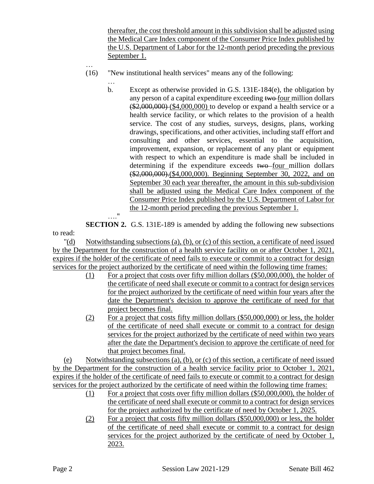thereafter, the cost threshold amount in this subdivision shall be adjusted using the Medical Care Index component of the Consumer Price Index published by the U.S. Department of Labor for the 12-month period preceding the previous September 1.

- (16) "New institutional health services" means any of the following:
	- …

…

b. Except as otherwise provided in G.S. 131E-184(e), the obligation by any person of a capital expenditure exceeding two-four million dollars  $(*2,000,000)$   $(*4,000,000)$  to develop or expand a health service or a health service facility, or which relates to the provision of a health service. The cost of any studies, surveys, designs, plans, working drawings, specifications, and other activities, including staff effort and consulting and other services, essential to the acquisition, improvement, expansion, or replacement of any plant or equipment with respect to which an expenditure is made shall be included in determining if the expenditure exceeds two-four million dollars (\$2,000,000).(\$4,000,000). Beginning September 30, 2022, and on September 30 each year thereafter, the amount in this sub-subdivision shall be adjusted using the Medical Care Index component of the Consumer Price Index published by the U.S. Department of Labor for the 12-month period preceding the previous September 1.

…." **SECTION 2.** G.S. 131E-189 is amended by adding the following new subsections to read:

"(d) Notwithstanding subsections (a), (b), or (c) of this section, a certificate of need issued by the Department for the construction of a health service facility on or after October 1, 2021, expires if the holder of the certificate of need fails to execute or commit to a contract for design services for the project authorized by the certificate of need within the following time frames:

- (1) For a project that costs over fifty million dollars (\$50,000,000), the holder of the certificate of need shall execute or commit to a contract for design services for the project authorized by the certificate of need within four years after the date the Department's decision to approve the certificate of need for that project becomes final.
- (2) For a project that costs fifty million dollars (\$50,000,000) or less, the holder of the certificate of need shall execute or commit to a contract for design services for the project authorized by the certificate of need within two years after the date the Department's decision to approve the certificate of need for that project becomes final.

(e) Notwithstanding subsections (a), (b), or (c) of this section, a certificate of need issued by the Department for the construction of a health service facility prior to October 1, 2021, expires if the holder of the certificate of need fails to execute or commit to a contract for design services for the project authorized by the certificate of need within the following time frames:

- (1) For a project that costs over fifty million dollars (\$50,000,000), the holder of the certificate of need shall execute or commit to a contract for design services for the project authorized by the certificate of need by October 1, 2025.
- (2) For a project that costs fifty million dollars (\$50,000,000) or less, the holder of the certificate of need shall execute or commit to a contract for design services for the project authorized by the certificate of need by October 1, 2023.